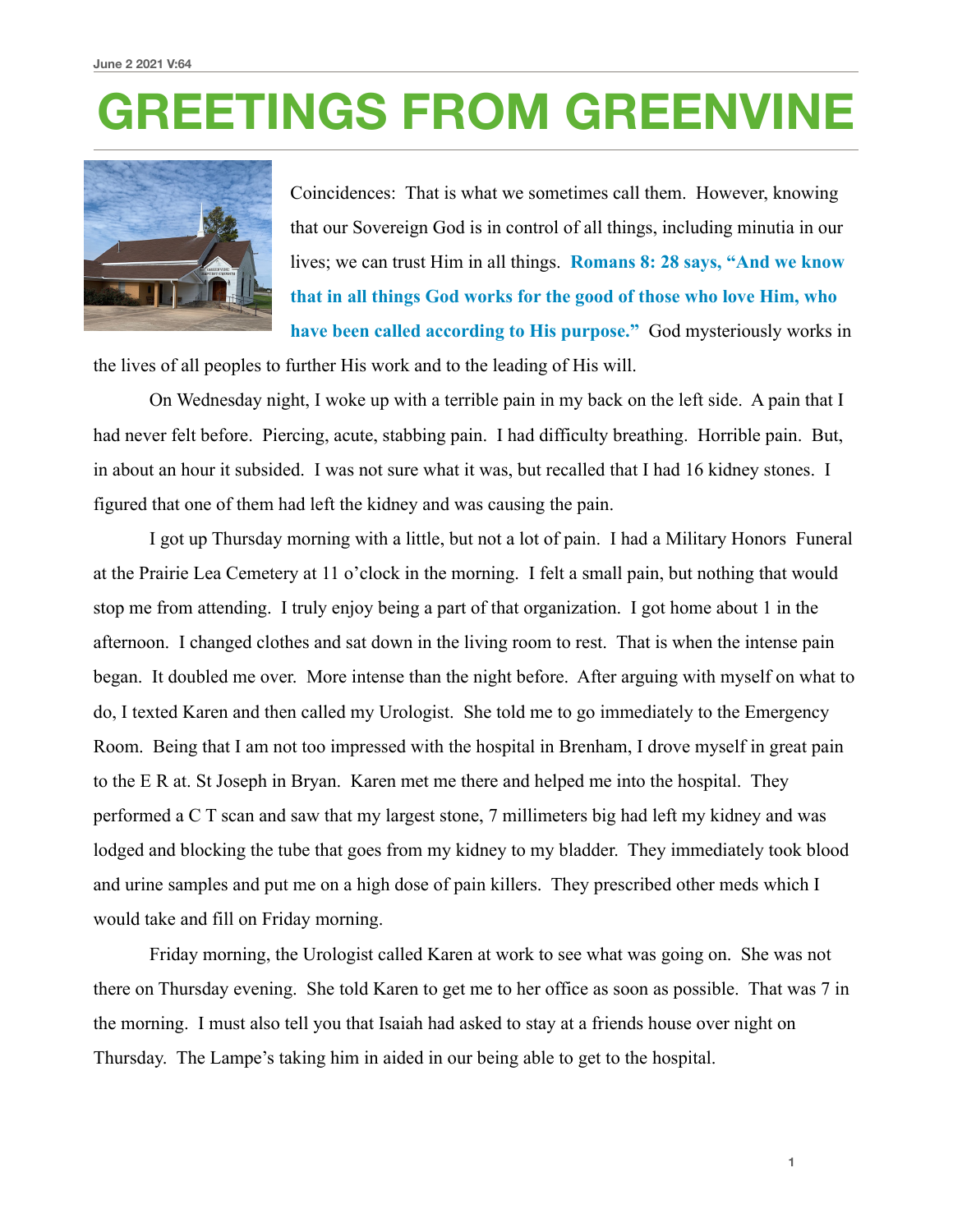## **GREETINGS FROM GREENVINE**



Coincidences: That is what we sometimes call them. However, knowing that our Sovereign God is in control of all things, including minutia in our lives; we can trust Him in all things. **Romans 8: 28 says, "And we know that in all things God works for the good of those who love Him, who have been called according to His purpose."** God mysteriously works in

the lives of all peoples to further His work and to the leading of His will.

 On Wednesday night, I woke up with a terrible pain in my back on the left side. A pain that I had never felt before. Piercing, acute, stabbing pain. I had difficulty breathing. Horrible pain. But, in about an hour it subsided. I was not sure what it was, but recalled that I had 16 kidney stones. I figured that one of them had left the kidney and was causing the pain.

 I got up Thursday morning with a little, but not a lot of pain. I had a Military Honors Funeral at the Prairie Lea Cemetery at 11 o'clock in the morning. I felt a small pain, but nothing that would stop me from attending. I truly enjoy being a part of that organization. I got home about 1 in the afternoon. I changed clothes and sat down in the living room to rest. That is when the intense pain began. It doubled me over. More intense than the night before. After arguing with myself on what to do, I texted Karen and then called my Urologist. She told me to go immediately to the Emergency Room. Being that I am not too impressed with the hospital in Brenham, I drove myself in great pain to the E R at. St Joseph in Bryan. Karen met me there and helped me into the hospital. They performed a C T scan and saw that my largest stone, 7 millimeters big had left my kidney and was lodged and blocking the tube that goes from my kidney to my bladder. They immediately took blood and urine samples and put me on a high dose of pain killers. They prescribed other meds which I would take and fill on Friday morning.

 Friday morning, the Urologist called Karen at work to see what was going on. She was not there on Thursday evening. She told Karen to get me to her office as soon as possible. That was 7 in the morning. I must also tell you that Isaiah had asked to stay at a friends house over night on Thursday. The Lampe's taking him in aided in our being able to get to the hospital.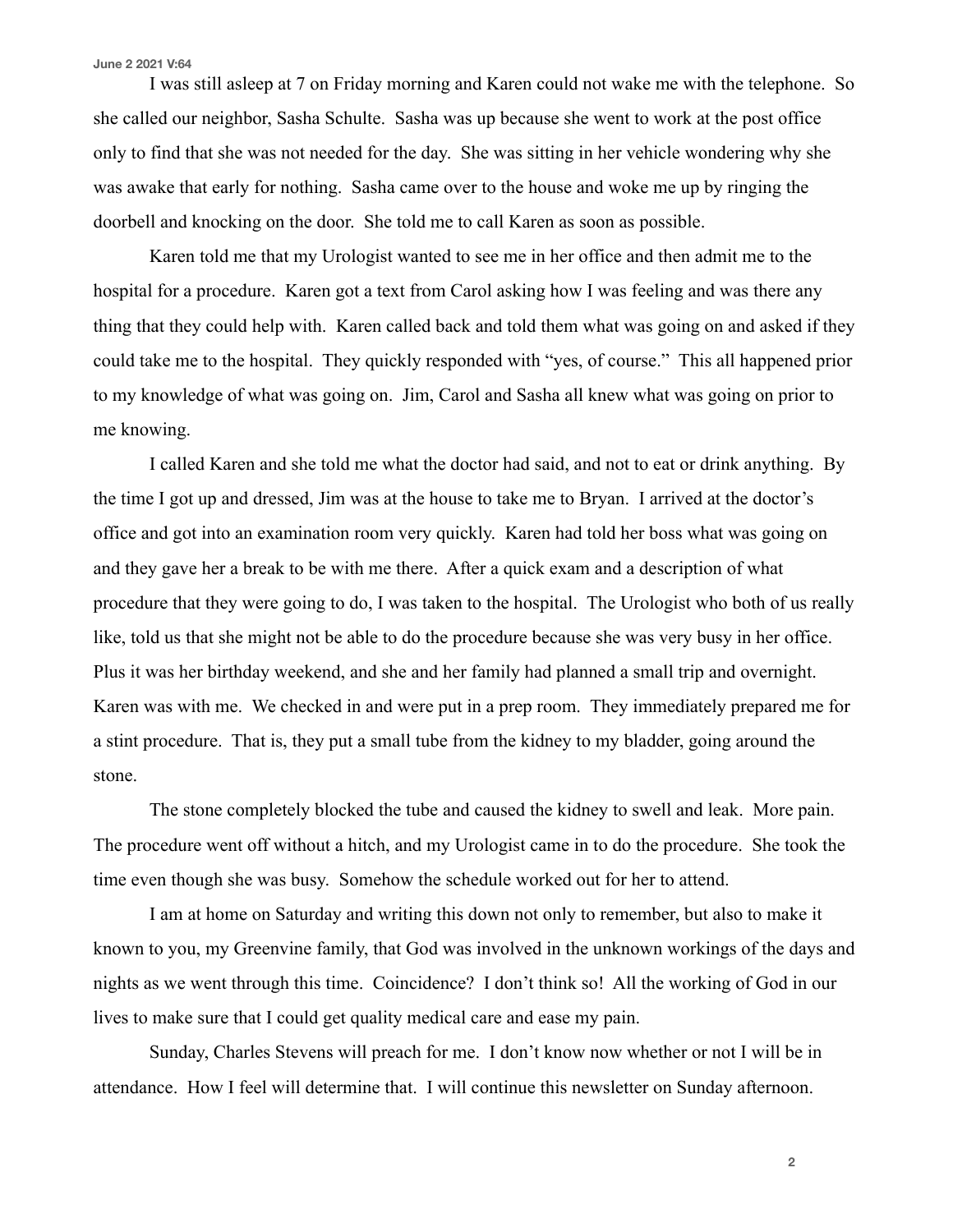## **June 2 2021 V:64**

 I was still asleep at 7 on Friday morning and Karen could not wake me with the telephone. So she called our neighbor, Sasha Schulte. Sasha was up because she went to work at the post office only to find that she was not needed for the day. She was sitting in her vehicle wondering why she was awake that early for nothing. Sasha came over to the house and woke me up by ringing the doorbell and knocking on the door. She told me to call Karen as soon as possible.

 Karen told me that my Urologist wanted to see me in her office and then admit me to the hospital for a procedure. Karen got a text from Carol asking how I was feeling and was there any thing that they could help with. Karen called back and told them what was going on and asked if they could take me to the hospital. They quickly responded with "yes, of course." This all happened prior to my knowledge of what was going on. Jim, Carol and Sasha all knew what was going on prior to me knowing.

 I called Karen and she told me what the doctor had said, and not to eat or drink anything. By the time I got up and dressed, Jim was at the house to take me to Bryan. I arrived at the doctor's office and got into an examination room very quickly. Karen had told her boss what was going on and they gave her a break to be with me there. After a quick exam and a description of what procedure that they were going to do, I was taken to the hospital. The Urologist who both of us really like, told us that she might not be able to do the procedure because she was very busy in her office. Plus it was her birthday weekend, and she and her family had planned a small trip and overnight. Karen was with me. We checked in and were put in a prep room. They immediately prepared me for a stint procedure. That is, they put a small tube from the kidney to my bladder, going around the stone.

 The stone completely blocked the tube and caused the kidney to swell and leak. More pain. The procedure went off without a hitch, and my Urologist came in to do the procedure. She took the time even though she was busy. Somehow the schedule worked out for her to attend.

 I am at home on Saturday and writing this down not only to remember, but also to make it known to you, my Greenvine family, that God was involved in the unknown workings of the days and nights as we went through this time. Coincidence? I don't think so! All the working of God in our lives to make sure that I could get quality medical care and ease my pain.

 Sunday, Charles Stevens will preach for me. I don't know now whether or not I will be in attendance. How I feel will determine that. I will continue this newsletter on Sunday afternoon.

**2**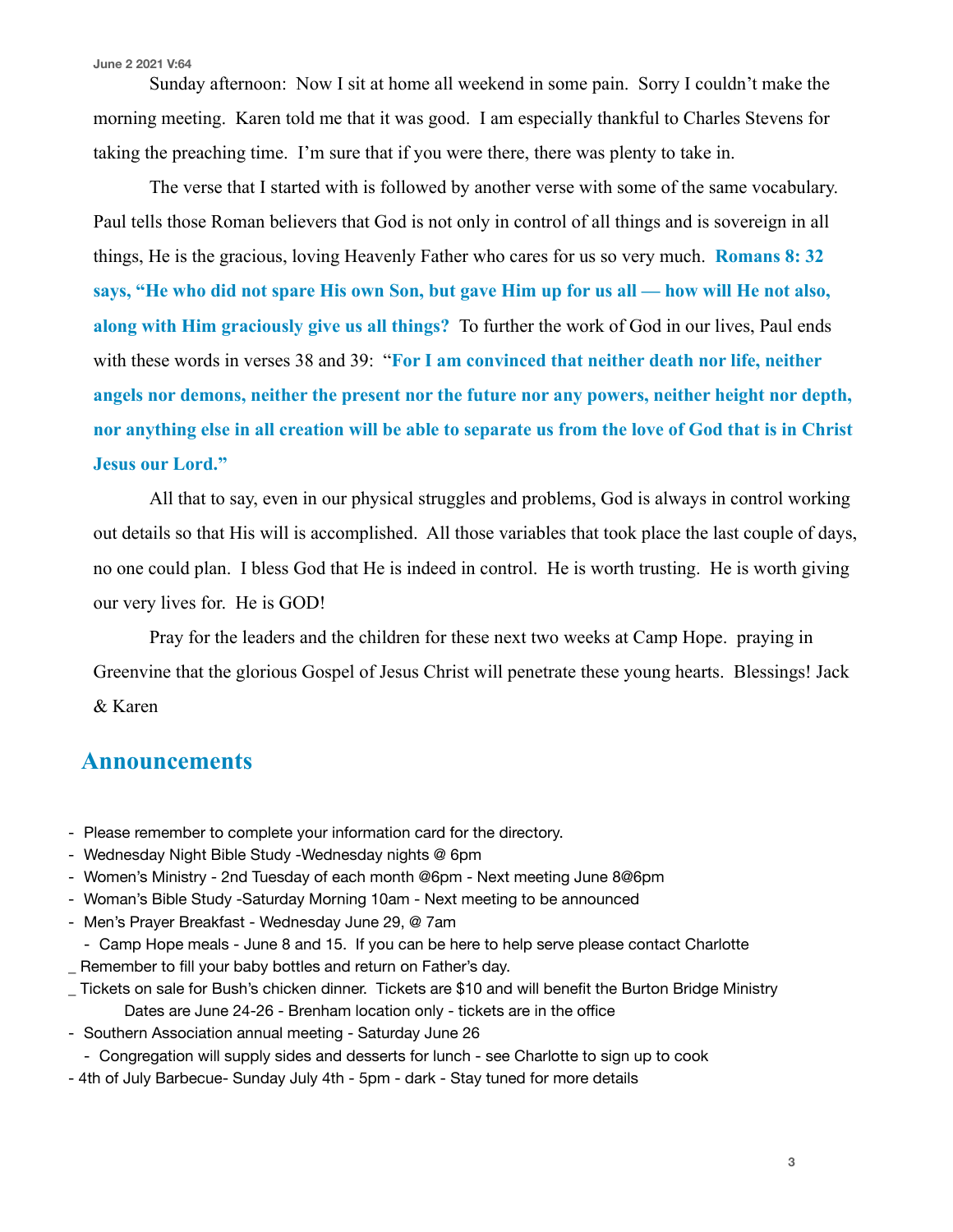**June 2 2021 V:64**

 Sunday afternoon: Now I sit at home all weekend in some pain. Sorry I couldn't make the morning meeting. Karen told me that it was good. I am especially thankful to Charles Stevens for taking the preaching time. I'm sure that if you were there, there was plenty to take in.

 The verse that I started with is followed by another verse with some of the same vocabulary. Paul tells those Roman believers that God is not only in control of all things and is sovereign in all things, He is the gracious, loving Heavenly Father who cares for us so very much. **Romans 8: 32 says, "He who did not spare His own Son, but gave Him up for us all — how will He not also, along with Him graciously give us all things?** To further the work of God in our lives, Paul ends with these words in verses 38 and 39: "**For I am convinced that neither death nor life, neither angels nor demons, neither the present nor the future nor any powers, neither height nor depth, nor anything else in all creation will be able to separate us from the love of God that is in Christ Jesus our Lord."**

 All that to say, even in our physical struggles and problems, God is always in control working out details so that His will is accomplished. All those variables that took place the last couple of days, no one could plan. I bless God that He is indeed in control. He is worth trusting. He is worth giving our very lives for. He is GOD!

 Pray for the leaders and the children for these next two weeks at Camp Hope. praying in Greenvine that the glorious Gospel of Jesus Christ will penetrate these young hearts. Blessings! Jack & Karen

## **Announcements**

- Please remember to complete your information card for the directory.
- Wednesday Night Bible Study -Wednesday nights @ 6pm
- Women's Ministry 2nd Tuesday of each month @6pm Next meeting June 8@6pm
- Woman's Bible Study -Saturday Morning 10am Next meeting to be announced
- Men's Prayer Breakfast Wednesday June 29, @ 7am
- Camp Hope meals June 8 and 15. If you can be here to help serve please contact Charlotte
- \_ Remember to fill your baby bottles and return on Father's day.
- \_ Tickets on sale for Bush's chicken dinner. Tickets are \$10 and will benefit the Burton Bridge Ministry Dates are June 24-26 - Brenham location only - tickets are in the office
- Southern Association annual meeting Saturday June 26
	- Congregation will supply sides and desserts for lunch see Charlotte to sign up to cook
- 4th of July Barbecue- Sunday July 4th 5pm dark Stay tuned for more details